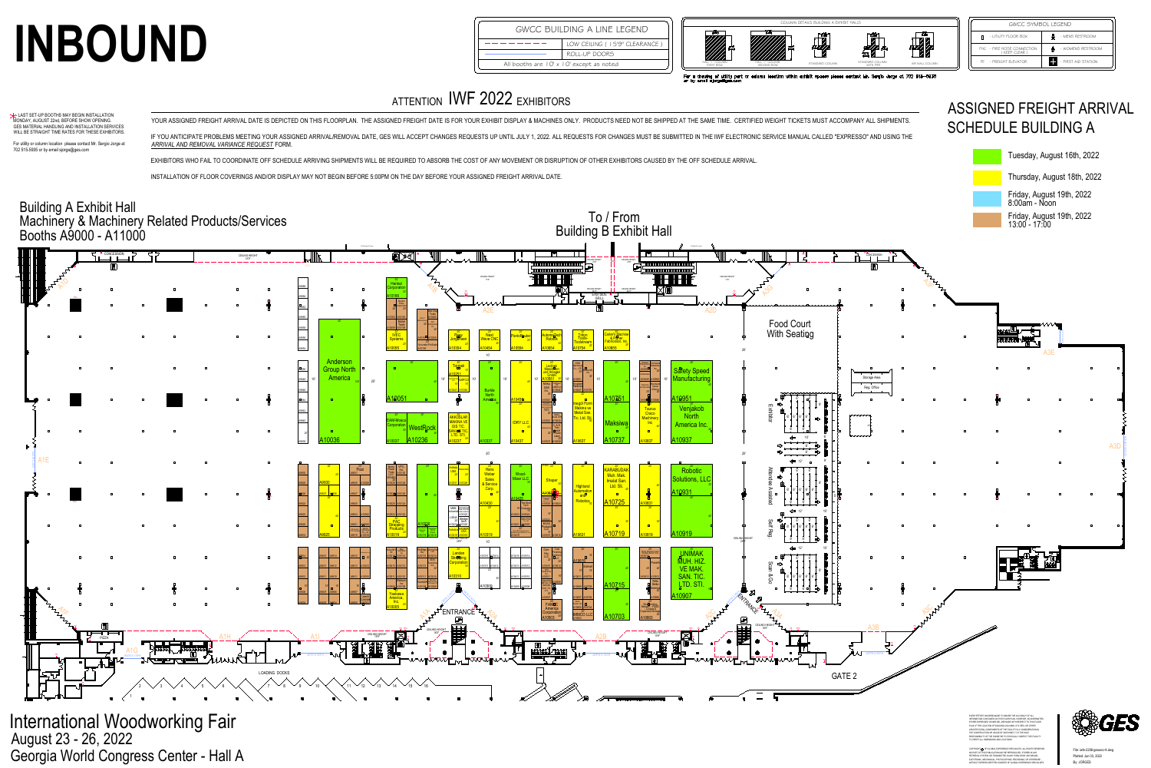





|  | exhibit spaces please contact Mr. Sergio Jorge at 702 515—5935 |  |  |  |  |
|--|----------------------------------------------------------------|--|--|--|--|
|  |                                                                |  |  |  |  |

| <b>GWCC SYMBOL LEGEND</b>                  |                      |  |  |  |  |  |
|--------------------------------------------|----------------------|--|--|--|--|--|
| - UTILITY FLOOR BOX                        | 巅<br>- MENS RESTROOM |  |  |  |  |  |
| FHC - FIRE HOSE CONNECTION<br>(KEEP CLEAR) | - WOMENS RESTROOM    |  |  |  |  |  |
| FE - FREIGHT ELEVATOR                      | - FIRST AID STATION  |  |  |  |  |  |
|                                            |                      |  |  |  |  |  |